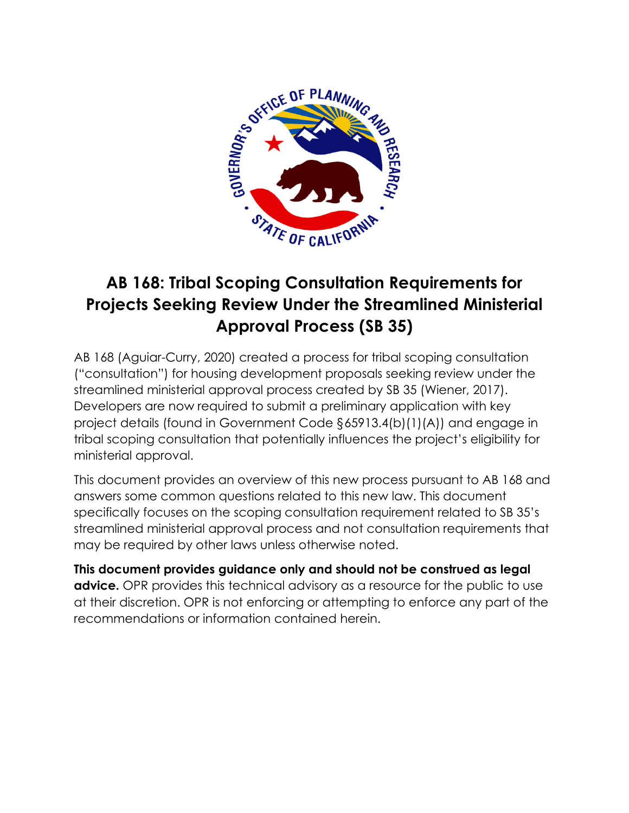

# **AB 168: Tribal Scoping Consultation Requirements for Projects Seeking Review Under the Streamlined Ministerial Approval Process (SB 35)**

AB 168 (Aguiar-Curry, 2020) created a process for tribal scoping consultation ("consultation") for housing development proposals seeking review under the streamlined ministerial approval process created by SB 35 (Wiener, 2017). Developers are now required to submit a preliminary application with key project details (found in Government Code §65913.4(b)(1)(A)) and engage in tribal scoping consultation that potentially influences the project's eligibility for ministerial approval.

This document provides an overview of this new process pursuant to AB 168 and answers some common questions related to this new law. This document specifically focuses on the scoping consultation requirement related to SB 35's streamlined ministerial approval process and not consultation requirements that may be required by other laws unless otherwise noted.

**This document provides guidance only and should not be construed as legal advice.** OPR provides this technical advisory as a resource for the public to use at their discretion. OPR is not enforcing or attempting to enforce any part of the recommendations or information contained herein.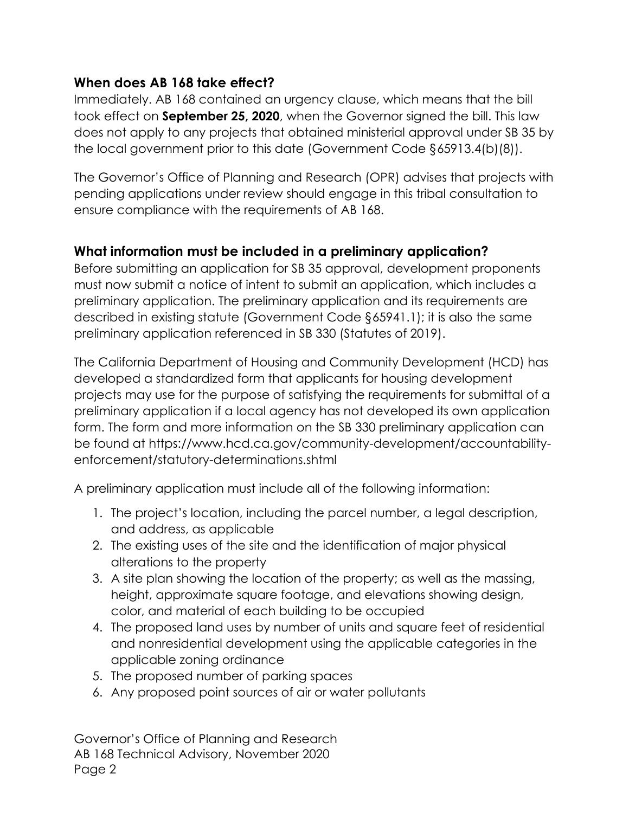#### **When does AB 168 take effect?**

Immediately. AB 168 contained an urgency clause, which means that the bill took effect on **September 25, 2020**, when the Governor signed the bill. This law does not apply to any projects that obtained ministerial approval under SB 35 by the local government prior to this date (Government Code §65913.4(b)(8)).

The Governor's Office of Planning and Research (OPR) advises that projects with pending applications under review should engage in this tribal consultation to ensure compliance with the requirements of AB 168.

#### **What information must be included in a preliminary application?**

Before submitting an application for SB 35 approval, development proponents must now submit a notice of intent to submit an application, which includes a preliminary application. The preliminary application and its requirements are described in existing statute (Government Code §65941.1); it is also the same preliminary application referenced in SB 330 (Statutes of 2019).

The California Department of Housing and Community Development (HCD) has developed a standardized form that applicants for housing development projects may use for the purpose of satisfying the requirements for submittal of a preliminary application if a local agency has not developed its own application form. The form and more information on the SB 330 preliminary application can be found at [https://www.hcd.ca.gov/community-development/accountability](https://www.hcd.ca.gov/community-development/accountability-enforcement/statutory-determinations.shtml)[enforcement/statutory-determinations.shtml](https://www.hcd.ca.gov/community-development/accountability-enforcement/statutory-determinations.shtml)

A preliminary application must include all of the following information:

- 1. The project's location, including the parcel number, a legal description, and address, as applicable
- 2. The existing uses of the site and the identification of major physical alterations to the property
- 3. A site plan showing the location of the property; as well as the massing, height, approximate square footage, and elevations showing design, color, and material of each building to be occupied
- 4. The proposed land uses by number of units and square feet of residential and nonresidential development using the applicable categories in the applicable zoning ordinance
- 5. The proposed number of parking spaces
- 6. Any proposed point sources of air or water pollutants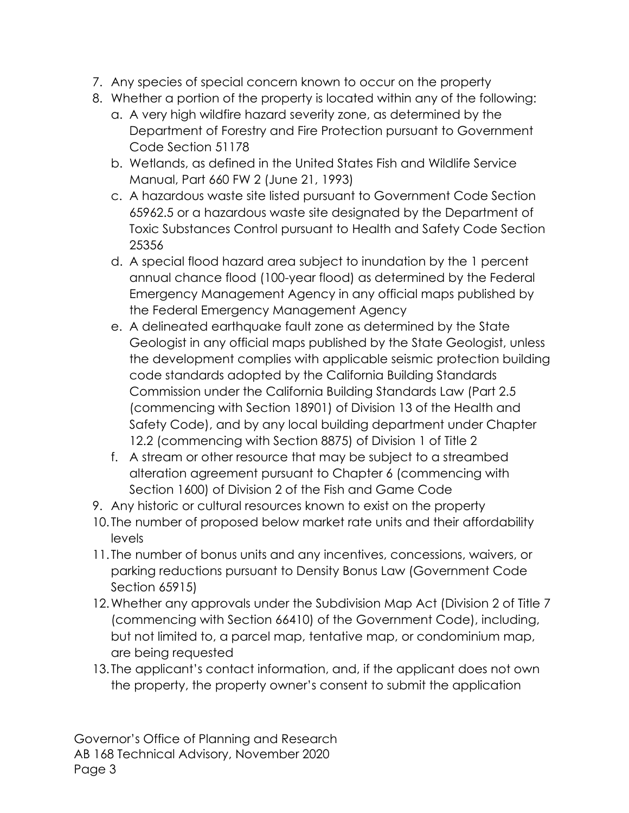- 7. Any species of special concern known to occur on the property
- 8. Whether a portion of the property is located within any of the following:
	- a. A very high wildfire hazard severity zone, as determined by the Department of Forestry and Fire Protection pursuant to Government Code Section 51178
	- b. Wetlands, as defined in the United States Fish and Wildlife Service Manual, Part 660 FW 2 (June 21, 1993)
	- c. A hazardous waste site listed pursuant to Government Code Section 65962.5 or a hazardous waste site designated by the Department of Toxic Substances Control pursuant to Health and Safety Code Section 25356
	- d. A special flood hazard area subject to inundation by the 1 percent annual chance flood (100-year flood) as determined by the Federal Emergency Management Agency in any official maps published by the Federal Emergency Management Agency
	- e. A delineated earthquake fault zone as determined by the State Geologist in any official maps published by the State Geologist, unless the development complies with applicable seismic protection building code standards adopted by the California Building Standards Commission under the California Building Standards Law (Part 2.5 (commencing with Section 18901) of Division 13 of the Health and Safety Code), and by any local building department under Chapter 12.2 (commencing with Section 8875) of Division 1 of Title 2
	- f. A stream or other resource that may be subject to a streambed alteration agreement pursuant to Chapter 6 (commencing with Section 1600) of Division 2 of the Fish and Game Code
- 9. Any historic or cultural resources known to exist on the property
- 10. The number of proposed below market rate units and their affordability levels
- 11. The number of bonus units and any incentives, concessions, waivers, or parking reductions pursuant to Density Bonus Law (Government Code Section 65915)
- 12.Whether any approvals under the Subdivision Map Act (Division 2 of Title 7 (commencing with Section 66410) of the Government Code), including, but not limited to, a parcel map, tentative map, or condominium map, are being requested
- 13. The applicant's contact information, and, if the applicant does not own the property, the property owner's consent to submit the application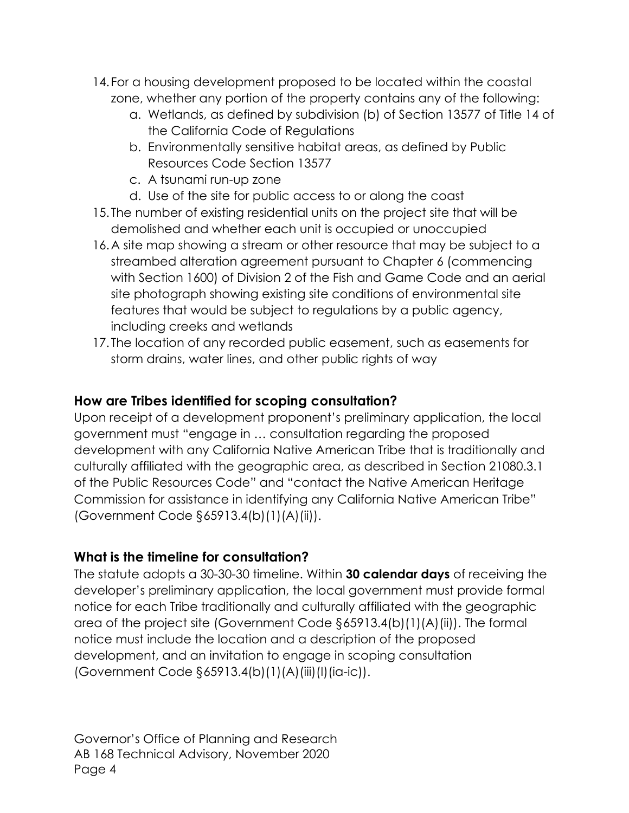- 14. For a housing development proposed to be located within the coastal zone, whether any portion of the property contains any of the following:
	- a. Wetlands, as defined by subdivision (b) of Section 13577 of Title 14 of the California Code of Regulations
	- b. Environmentally sensitive habitat areas, as defined by Public Resources Code Section 13577
	- c. A tsunami run-up zone
	- d. Use of the site for public access to or along the coast
- 15. The number of existing residential units on the project site that will be demolished and whether each unit is occupied or unoccupied
- 16.A site map showing a stream or other resource that may be subject to a streambed alteration agreement pursuant to Chapter 6 (commencing with Section 1600) of Division 2 of the Fish and Game Code and an aerial site photograph showing existing site conditions of environmental site features that would be subject to regulations by a public agency, including creeks and wetlands
- 17. The location of any recorded public easement, such as easements for storm drains, water lines, and other public rights of way

### **How are Tribes identified for scoping consultation?**

Upon receipt of a development proponent's preliminary application, the local government must "engage in … consultation regarding the proposed development with any California Native American Tribe that is traditionally and culturally affiliated with the geographic area, as described in Section 21080.3.1 of the Public Resources Code" and "contact the Native American Heritage Commission for assistance in identifying any California Native American Tribe" (Government Code §65913.4(b)(1)(A)(ii)).

#### **What is the timeline for consultation?**

The statute adopts a 30-30-30 timeline. Within **30 calendar days** of receiving the developer's preliminary application, the local government must provide formal notice for each Tribe traditionally and culturally affiliated with the geographic area of the project site (Government Code §65913.4(b)(1)(A)(ii)). The formal notice must include the location and a description of the proposed development, and an invitation to engage in scoping consultation (Government Code §65913.4(b)(1)(A)(iii)(I)(ia-ic)).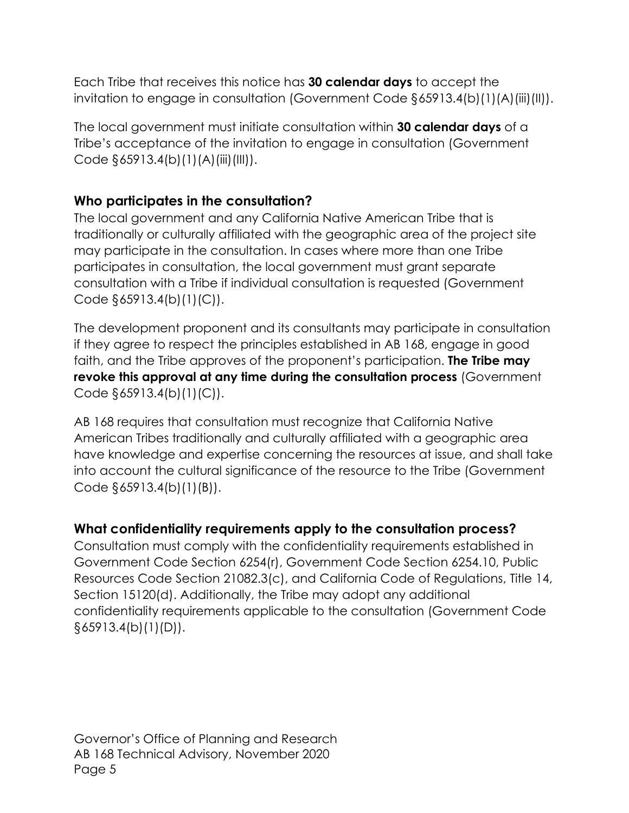Each Tribe that receives this notice has **30 calendar days** to accept the invitation to engage in consultation (Government Code §65913.4(b)(1)(A)(iii)(II)).

The local government must initiate consultation within **30 calendar days** of a Tribe's acceptance of the invitation to engage in consultation (Government Code  $\S 65913.4(b)(1)(A)(iii)(III)$ .

#### **Who participates in the consultation?**

The local government and any California Native American Tribe that is traditionally or culturally affiliated with the geographic area of the project site may participate in the consultation. In cases where more than one Tribe participates in consultation, the local government must grant separate consultation with a Tribe if individual consultation is requested (Government Code §65913.4(b)(1)(C)).

The development proponent and its consultants may participate in consultation if they agree to respect the principles established in AB 168, engage in good faith, and the Tribe approves of the proponent's participation. **The Tribe may revoke this approval at any time during the consultation process** (Government Code  $\S 65913.4(b)(1)(C)$ .

AB 168 requires that consultation must recognize that California Native American Tribes traditionally and culturally affiliated with a geographic area have knowledge and expertise concerning the resources at issue, and shall take into account the cultural significance of the resource to the Tribe (Government Code §65913.4(b)(1)(B)).

#### **What confidentiality requirements apply to the consultation process?**

Consultation must comply with the confidentiality requirements established in Government Code Section 6254(r), Government Code Section 6254.10, Public Resources Code Section 21082.3(c), and California Code of Regulations, Title 14, Section 15120(d). Additionally, the Tribe may adopt any additional confidentiality requirements applicable to the consultation (Government Code  $§65913.4(b)(1)(D)).$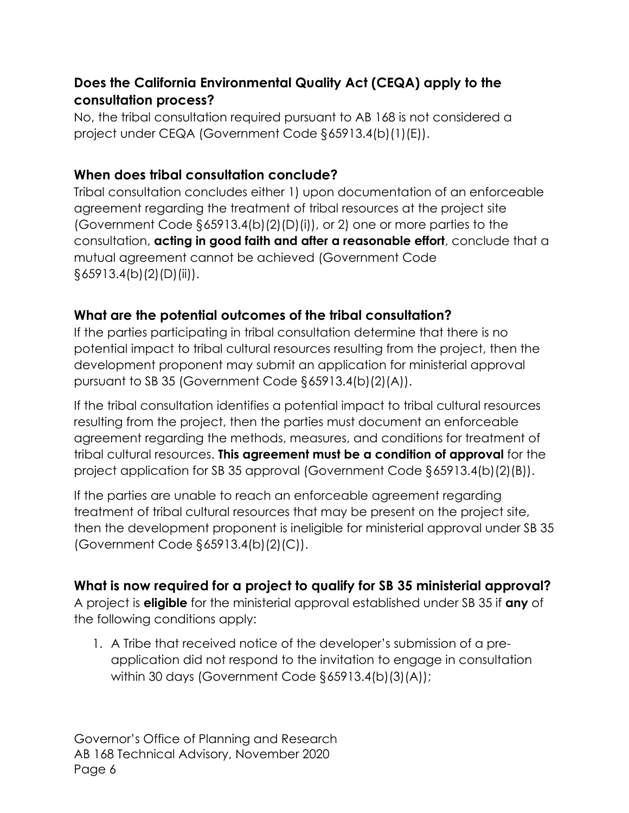## **Does the California Environmental Quality Act (CEQA) apply to the consultation process?**

No, the tribal consultation required pursuant to AB 168 is not considered a project under CEQA (Government Code §65913.4(b)(1)(E)).

#### **When does tribal consultation conclude?**

Tribal consultation concludes either 1) upon documentation of an enforceable agreement regarding the treatment of tribal resources at the project site (Government Code  $\S 65913.4(b)(2)(D)(i)$ ), or 2) one or more parties to the consultation, **acting in good faith and after a reasonable effort**, conclude that a mutual agreement cannot be achieved (Government Code  $\S 65913.4(b)(2)(D)(ii)$ .

## **What are the potential outcomes of the tribal consultation?**

If the parties participating in tribal consultation determine that there is no potential impact to tribal cultural resources resulting from the project, then the development proponent may submit an application for ministerial approval pursuant to SB 35 (Government Code §65913.4(b)(2)(A)).

If the tribal consultation identifies a potential impact to tribal cultural resources resulting from the project, then the parties must document an enforceable agreement regarding the methods, measures, and conditions for treatment of tribal cultural resources. **This agreement must be a condition of approval** for the project application for SB 35 approval (Government Code §65913.4(b)(2)(B)).

If the parties are unable to reach an enforceable agreement regarding treatment of tribal cultural resources that may be present on the project site, then the development proponent is ineligible for ministerial approval under SB 35 (Government Code §65913.4(b)(2)(C)).

## **What is now required for a project to qualify for SB 35 ministerial approval?**

A project is **eligible** for the ministerial approval established under SB 35 if **any** of the following conditions apply:

1. A Tribe that received notice of the developer's submission of a preapplication did not respond to the invitation to engage in consultation within 30 days (Government Code §65913.4(b)(3)(A));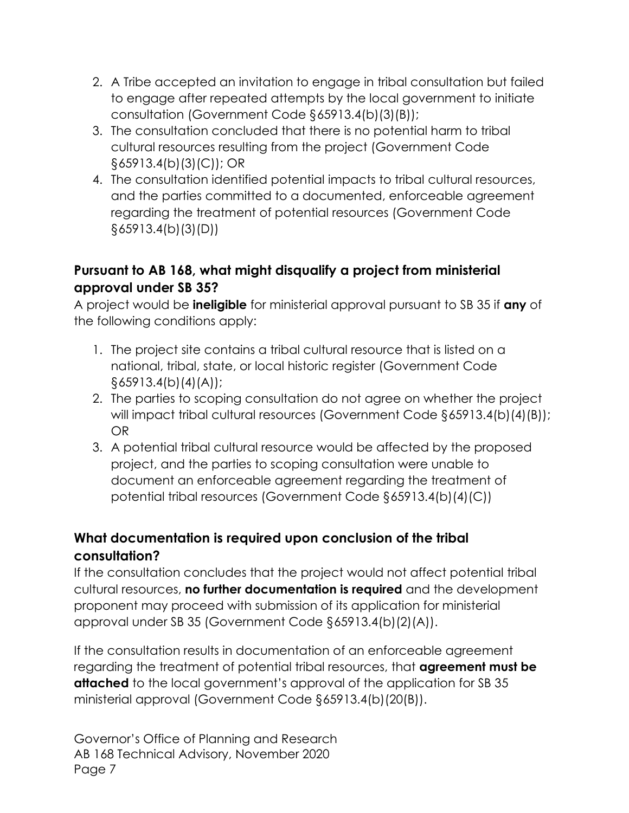- 2. A Tribe accepted an invitation to engage in tribal consultation but failed to engage after repeated attempts by the local government to initiate consultation (Government Code §65913.4(b)(3)(B));
- 3. The consultation concluded that there is no potential harm to tribal cultural resources resulting from the project (Government Code §65913.4(b)(3)(C)); OR
- 4. The consultation identified potential impacts to tribal cultural resources, and the parties committed to a documented, enforceable agreement regarding the treatment of potential resources (Government Code §65913.4(b)(3)(D))

### **Pursuant to AB 168, what might disqualify a project from ministerial approval under SB 35?**

A project would be **ineligible** for ministerial approval pursuant to SB 35 if **any** of the following conditions apply:

- 1. The project site contains a tribal cultural resource that is listed on a national, tribal, state, or local historic register (Government Code §65913.4(b)(4)(A));
- 2. The parties to scoping consultation do not agree on whether the project will impact tribal cultural resources (Government Code §65913.4(b)(4)(B)); OR
- 3. A potential tribal cultural resource would be affected by the proposed project, and the parties to scoping consultation were unable to document an enforceable agreement regarding the treatment of potential tribal resources (Government Code §65913.4(b)(4)(C))

## **What documentation is required upon conclusion of the tribal consultation?**

If the consultation concludes that the project would not affect potential tribal cultural resources, **no further documentation is required** and the development proponent may proceed with submission of its application for ministerial approval under SB 35 (Government Code §65913.4(b)(2)(A)).

If the consultation results in documentation of an enforceable agreement regarding the treatment of potential tribal resources, that **agreement must be attached** to the local government's approval of the application for SB 35 ministerial approval (Government Code §65913.4(b)(20(B)).